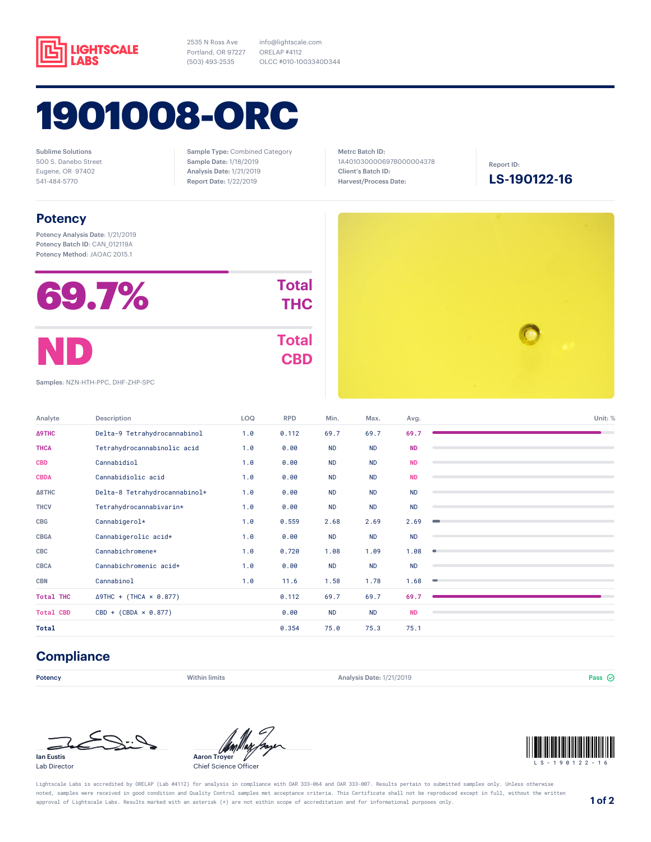

2535 N Ross Ave Portland, OR 97227 (503) 493-2535

1901008-ORC

Sublime Solutions 500 S. Danebo Street Eugene, OR 97402 541-484-5770

Sample Type: Combined Category Sample Date: 1/18/2019 Analysis Date: 1/21/2019 Report Date: 1/22/2019

info@lightscale.com ORELAP #4112

OLCC #010-1003340D344

Metrc Batch ID: 1A401030000697B000004378 Client's Batch ID: Harvest/Process Date:

Report ID:

**LS-190122-16**

## **Potency**

Potency Analysis Date: 1/21/2019 Potency Batch ID: CAN\_012119A Potency Method: JAOAC 2015.1

| 69.7% | <b>Total</b><br><b>THC</b> |
|-------|----------------------------|
| ND)   | <b>Total</b><br><b>CBD</b> |

Samples: NZN-HTH-PPC, DHF-ZHP-SPC

| Analyte          | Description                    | LOQ | <b>RPD</b> | Min.      | Max.      | Avg.      | Unit: %   |
|------------------|--------------------------------|-----|------------|-----------|-----------|-----------|-----------|
| Δ9THC            | Delta-9 Tetrahydrocannabinol   | 1.0 | 0.112      | 69.7      | 69.7      | 69.7      |           |
| <b>THCA</b>      | Tetrahydrocannabinolic acid    | 1.0 | 0.00       | <b>ND</b> | <b>ND</b> | <b>ND</b> |           |
| <b>CBD</b>       | Cannabidiol                    | 1.0 | 0.00       | <b>ND</b> | <b>ND</b> | <b>ND</b> |           |
| <b>CBDA</b>      | Cannabidiolic acid             | 1.0 | 0.00       | <b>ND</b> | <b>ND</b> | <b>ND</b> |           |
| <b>∆8THC</b>     | Delta-8 Tetrahydrocannabinol*  | 1.0 | 0.00       | <b>ND</b> | <b>ND</b> | <b>ND</b> |           |
| <b>THCV</b>      | Tetrahydrocannabivarin*        | 1.0 | 0.00       | <b>ND</b> | <b>ND</b> | <b>ND</b> |           |
| CBG              | Cannabigerol*                  | 1.0 | 0.559      | 2.68      | 2.69      | 2.69      |           |
| <b>CBGA</b>      | Cannabigerolic acid*           | 1.0 | 0.00       | ND        | <b>ND</b> | <b>ND</b> |           |
| CBC              | Cannabichromene*               | 1.0 | 0.720      | 1.08      | 1.09      | 1.08      | $\bullet$ |
| <b>CBCA</b>      | Cannabichromenic acid*         | 1.0 | 0.00       | <b>ND</b> | <b>ND</b> | <b>ND</b> |           |
| <b>CBN</b>       | Cannabinol                     | 1.0 | 11.6       | 1.58      | 1.78      | 1.68      | $\equiv$  |
| <b>Total THC</b> | $\Delta$ 9THC + (THCA × 0.877) |     | 0.112      | 69.7      | 69.7      | 69.7      |           |
| <b>Total CBD</b> | $CBD + (CBDA \times 0.877)$    |     | 0.00       | <b>ND</b> | <b>ND</b> | <b>ND</b> |           |
| Total            |                                |     | 0.354      | 75.0      | 75.3      | 75.1      |           |

## **Compliance**

**Potency Example 3 Pass** Within limits **Analysis Date: 1/21/2019** Pass  $\odot$  **Pass**  $\odot$ 







Chief Science Officer



Lightscale Labs is accredited by ORELAP (Lab #4112) for analysis in compliance with OAR 333-064 and OAR 333-007. Results pertain to submitted samples only. Unless otherwise noted, samples were received in good condition and Quality Control samples met acceptance criteria. This Certificate shall not be reproduced except in full, without the written approval of Lightscale Labs. Results marked with an asterisk (\*) are not within scope of accreditation and for informational purposes only. **1 of 2**